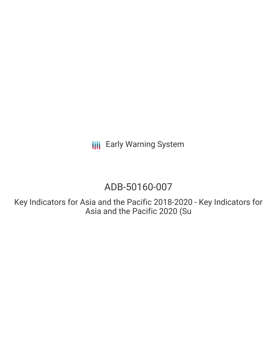**III** Early Warning System

# ADB-50160-007

Key Indicators for Asia and the Pacific 2018-2020 - Key Indicators for Asia and the Pacific 2020 (Su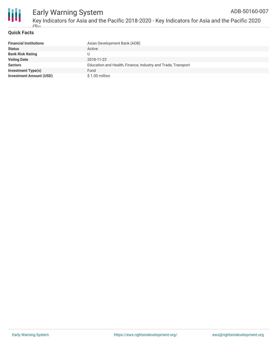

#### **Quick Facts**

| <b>Financial Institutions</b>  | Asian Development Bank (ADB)                                 |
|--------------------------------|--------------------------------------------------------------|
| <b>Status</b>                  | Active                                                       |
| <b>Bank Risk Rating</b>        |                                                              |
| <b>Voting Date</b>             | 2018-11-23                                                   |
| <b>Sectors</b>                 | Education and Health, Finance, Industry and Trade, Transport |
| <b>Investment Type(s)</b>      | Fund                                                         |
| <b>Investment Amount (USD)</b> | $$1.00$ million                                              |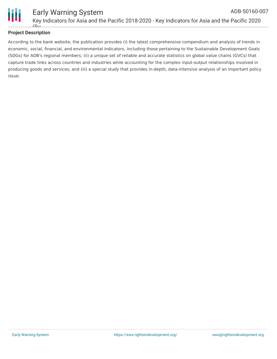

#### **Project Description**

According to the bank website, the publication provides (i) the latest comprehensive compendium and analysis of trends in economic, social, financial, and environmental indicators, including those pertaining to the Sustainable Development Goals (SDGs) for ADB's regional members; (ii) a unique set of reliable and accurate statistics on global value chains (GVCs) that capture trade links across countries and industries while accounting for the complex input-output relationships involved in producing goods and services; and (iii) a special study that provides in-depth, data-intensive analysis of an important policy issue.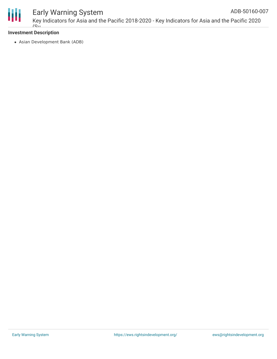

#### Early Warning System Key Indicators for Asia and the Pacific 2018-2020 - Key Indicators for Asia and the Pacific 2020 ADB-50160-007

#### **Investment Description**  $\overline{C_{11}}$

Asian Development Bank (ADB)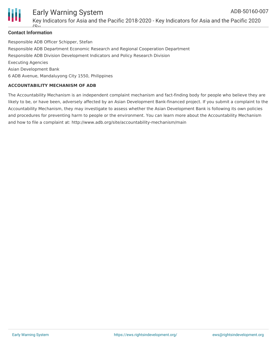

#### Early Warning System Key Indicators for Asia and the Pacific 2018-2020 - Key Indicators for Asia and the Pacific 2020 ADB-50160-007

#### **Contact Information**

 $(C_{11}$ 

Responsible ADB Officer Schipper, Stefan Responsible ADB Department Economic Research and Regional Cooperation Department Responsible ADB Division Development Indicators and Policy Research Division Executing Agencies Asian Development Bank 6 ADB Avenue, Mandaluyong City 1550, Philippines

#### **ACCOUNTABILITY MECHANISM OF ADB**

The Accountability Mechanism is an independent complaint mechanism and fact-finding body for people who believe they are likely to be, or have been, adversely affected by an Asian Development Bank-financed project. If you submit a complaint to the Accountability Mechanism, they may investigate to assess whether the Asian Development Bank is following its own policies and procedures for preventing harm to people or the environment. You can learn more about the Accountability Mechanism and how to file a complaint at: http://www.adb.org/site/accountability-mechanism/main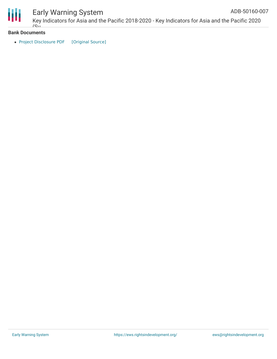

## Early Warning System

Key Indicators for Asia and the Pacific 2018-2020 - Key Indicators for Asia and the Pacific 2020  $\sim$ ADB-50160-007

#### **Bank Documents**

• Project [Disclosure](https://ewsdata.rightsindevelopment.org/files/documents/07/ADB-50160-007.pdf) PDF [\[Original](https://www.adb.org/printpdf/projects/50160-007/main) Source]